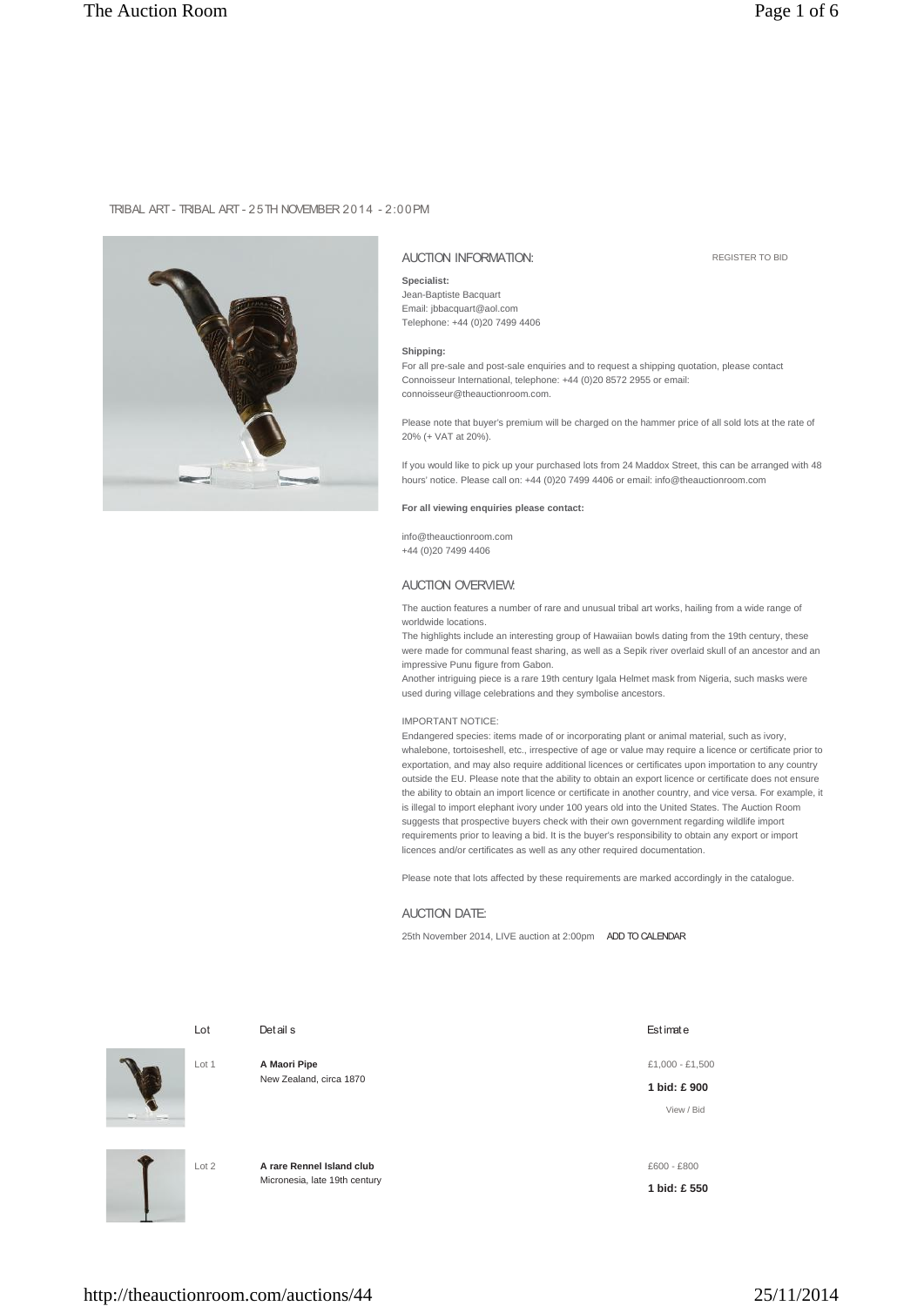## TRIBAL ART - TRIBAL ART - 25TH NOVEMBER 2014 - 2:00PM



## AUCTION INFORMATION:

REGISTER TO BID

#### **Specialist:** Jean-Baptiste Bacquart Email: jbbacquart@aol.com Telephone: +44 (0)20 7499 4406

#### **Shipping:**

For all pre-sale and post-sale enquiries and to request a shipping quotation, please contact Connoisseur International, telephone: +44 (0)20 8572 2955 or email: connoisseur@theauctionroom.com.

Please note that buyer's premium will be charged on the hammer price of all sold lots at the rate of 20% (+ VAT at 20%).

If you would like to pick up your purchased lots from 24 Maddox Street, this can be arranged with 48 hours' notice. Please call on: +44 (0)20 7499 4406 or email: info@theauctionroom.com

#### **For all viewing enquiries please contact:**

info@theauctionroom.com +44 (0)20 7499 4406

### AUCTION OVERVIEW:

The auction features a number of rare and unusual tribal art works, hailing from a wide range of worldwide locations.

The highlights include an interesting group of Hawaiian bowls dating from the 19th century, these were made for communal feast sharing, as well as a Sepik river overlaid skull of an ancestor and an impressive Punu figure from Gabon.

Another intriguing piece is a rare 19th century Igala Helmet mask from Nigeria, such masks were used during village celebrations and they symbolise ancestors.

#### IMPORTANT NOTICE:

Endangered species: items made of or incorporating plant or animal material, such as ivory, whalebone, tortoiseshell, etc., irrespective of age or value may require a licence or certificate prior to exportation, and may also require additional licences or certificates upon importation to any country outside the EU. Please note that the ability to obtain an export licence or certificate does not ensure the ability to obtain an import licence or certificate in another country, and vice versa. For example, it is illegal to import elephant ivory under 100 years old into the United States. The Auction Room suggests that prospective buyers check with their own government regarding wildlife import requirements prior to leaving a bid. It is the buyer's responsibility to obtain any export or import licences and/or certificates as well as any other required documentation.

Please note that lots affected by these requirements are marked accordingly in the catalogue.

### AUCTION DATE:

25th November 2014, LIVE auction at 2:00pm ADD TO CALENDAR



**A Maori Pipe** New Zealand, circa 1870



**A rare Rennel Island club** Micronesia, late 19th century

Lot Det ail s<br>
Det ail s

£1,000 - £1,500 **1 bid: £ 900**

View / Bid

£600 - £800 **1 bid: £ 550**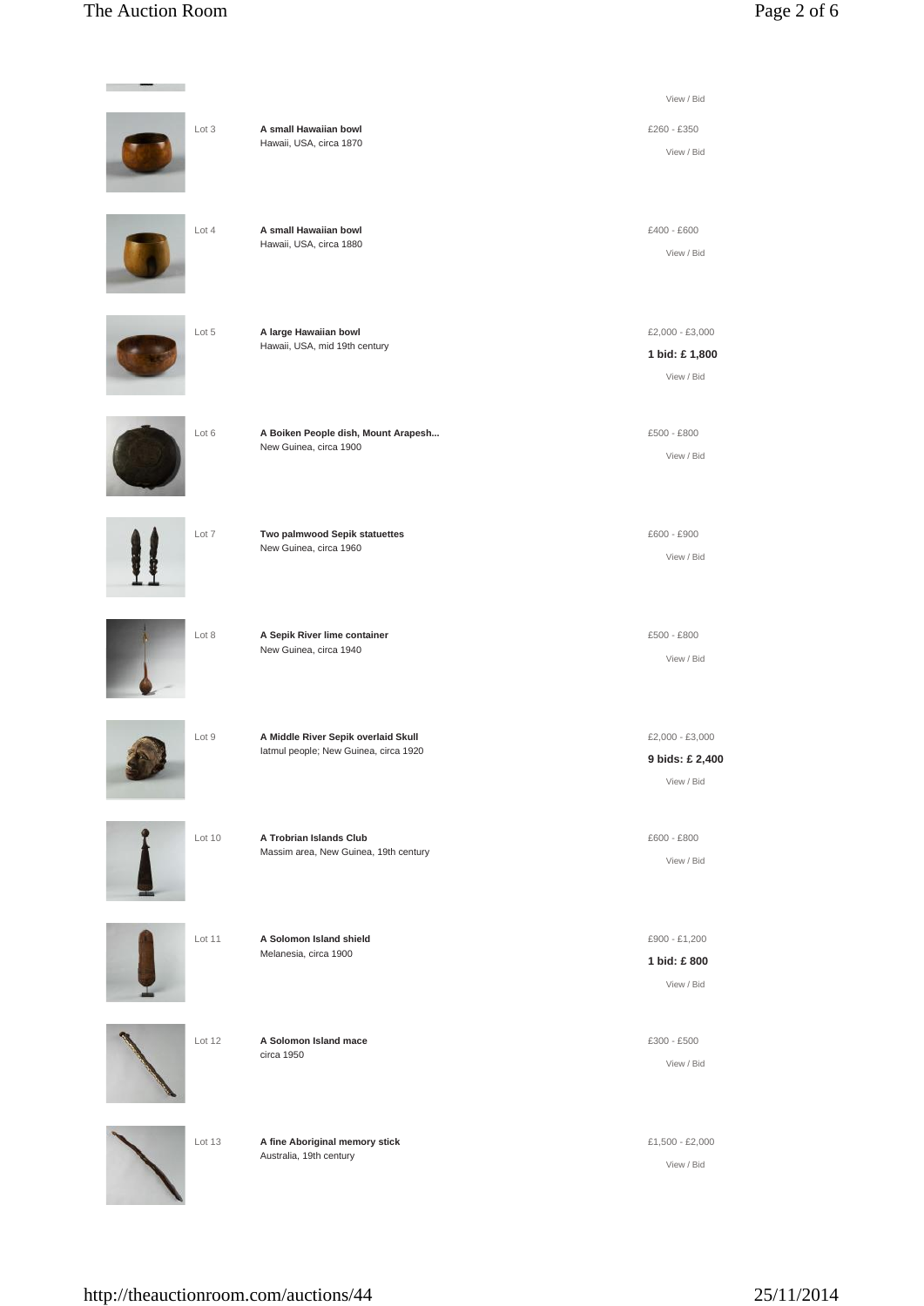| Lot 3  | A small Hawaiian bowl<br>Hawaii, USA, circa 1870                             | View / Bid<br>£260 - £350<br>View / Bid          |
|--------|------------------------------------------------------------------------------|--------------------------------------------------|
| Lot 4  | A small Hawaiian bowl<br>Hawaii, USA, circa 1880                             | £400 - £600<br>View / Bid                        |
| Lot 5  | A large Hawaiian bowl<br>Hawaii, USA, mid 19th century                       | £2,000 - £3,000<br>1 bid: £1,800<br>View / Bid   |
| Lot 6  | A Boiken People dish, Mount Arapesh<br>New Guinea, circa 1900                | £500 - £800<br>View / Bid                        |
| Lot 7  | Two palmwood Sepik statuettes<br>New Guinea, circa 1960                      | £600 - £900<br>View / Bid                        |
| Lot 8  | A Sepik River lime container<br>New Guinea, circa 1940                       | £500 - £800<br>View / Bid                        |
| Lot 9  | A Middle River Sepik overlaid Skull<br>latmul people; New Guinea, circa 1920 | £2,000 - £3,000<br>9 bids: £ 2,400<br>View / Bid |
| Lot 10 | A Trobrian Islands Club<br>Massim area, New Guinea, 19th century             | £600 - £800<br>View / Bid                        |
| Lot 11 | A Solomon Island shield<br>Melanesia, circa 1900                             | £900 - £1,200<br>1 bid: £800<br>View / Bid       |
| Lot 12 | A Solomon Island mace<br>circa 1950                                          | £300 - £500<br>View / Bid                        |
| Lot 13 | A fine Aboriginal memory stick<br>Australia, 19th century                    | £1,500 - £2,000<br>View / Bid                    |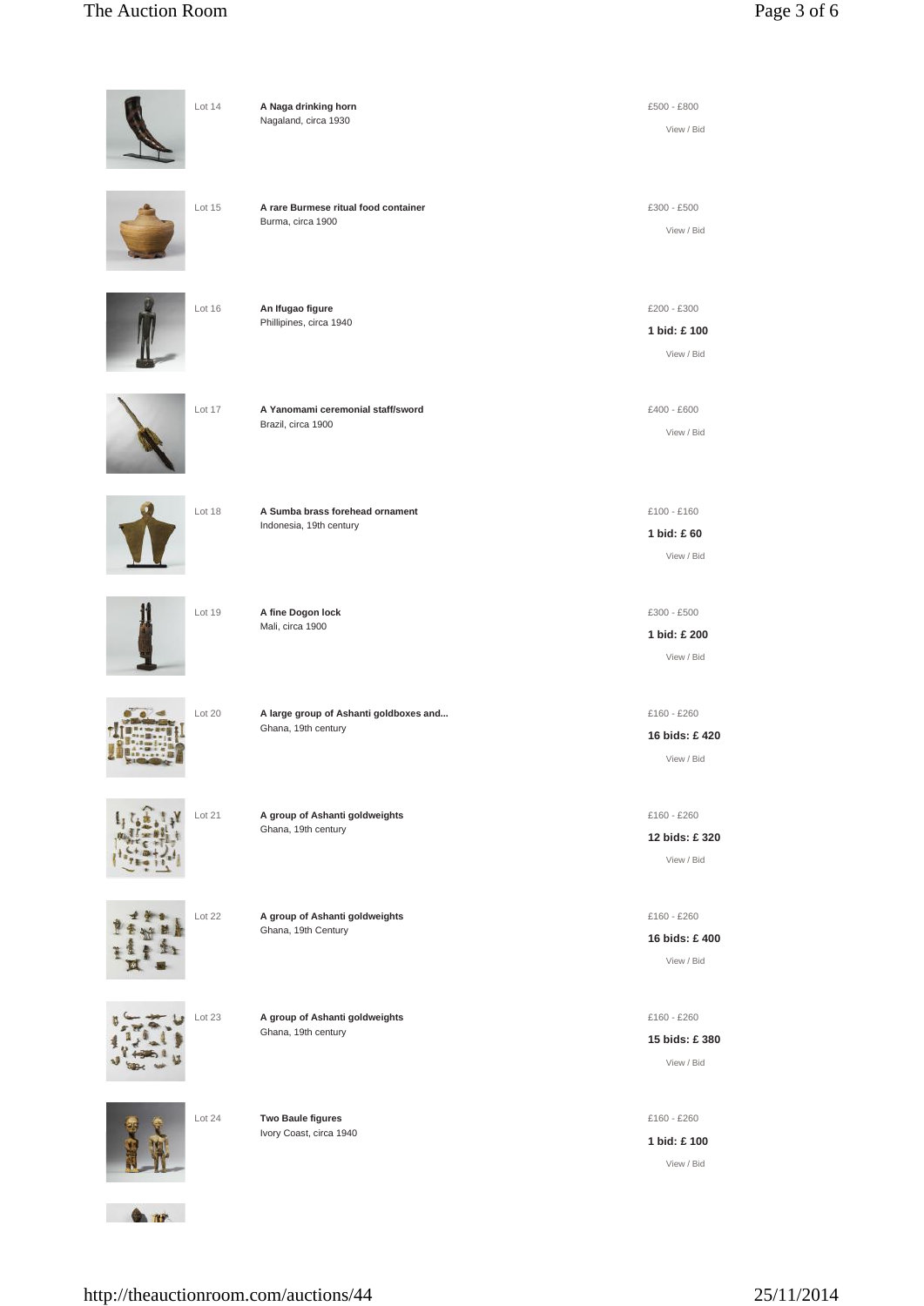| Lot 14 | A Naga drinking horn<br>Nagaland, circa 1930                  | £500 - £800<br>View / Bid                  |
|--------|---------------------------------------------------------------|--------------------------------------------|
| Lot 15 | A rare Burmese ritual food container<br>Burma, circa 1900     | £300 - £500<br>View / Bid                  |
| Lot 16 | An Ifugao figure<br>Phillipines, circa 1940                   | £200 - £300<br>1 bid: £100<br>View / Bid   |
| Lot 17 | A Yanomami ceremonial staff/sword<br>Brazil, circa 1900       | £400 - £600<br>View / Bid                  |
| Lot 18 | A Sumba brass forehead ornament<br>Indonesia, 19th century    | £100 - £160<br>1 bid: £60<br>View / Bid    |
| Lot 19 | A fine Dogon lock<br>Mali, circa 1900                         | £300 - £500<br>1 bid: £ 200<br>View / Bid  |
| Lot 20 | A large group of Ashanti goldboxes and<br>Ghana, 19th century | £160 - £260<br>16 bids: £420<br>View / Bid |
| Lot 21 | A group of Ashanti goldweights<br>Ghana, 19th century         | £160 - £260<br>12 bids: £320<br>View / Bid |
| Lot 22 | A group of Ashanti goldweights<br>Ghana, 19th Century         | £160 - £260<br>16 bids: £400<br>View / Bid |
| Lot 23 | A group of Ashanti goldweights<br>Ghana, 19th century         | £160 - £260<br>15 bids: £380<br>View / Bid |
| Lot 24 | Two Baule figures<br>Ivory Coast, circa 1940                  | £160 - £260<br>1 bid: £ 100<br>View / Bid  |
|        |                                                               |                                            |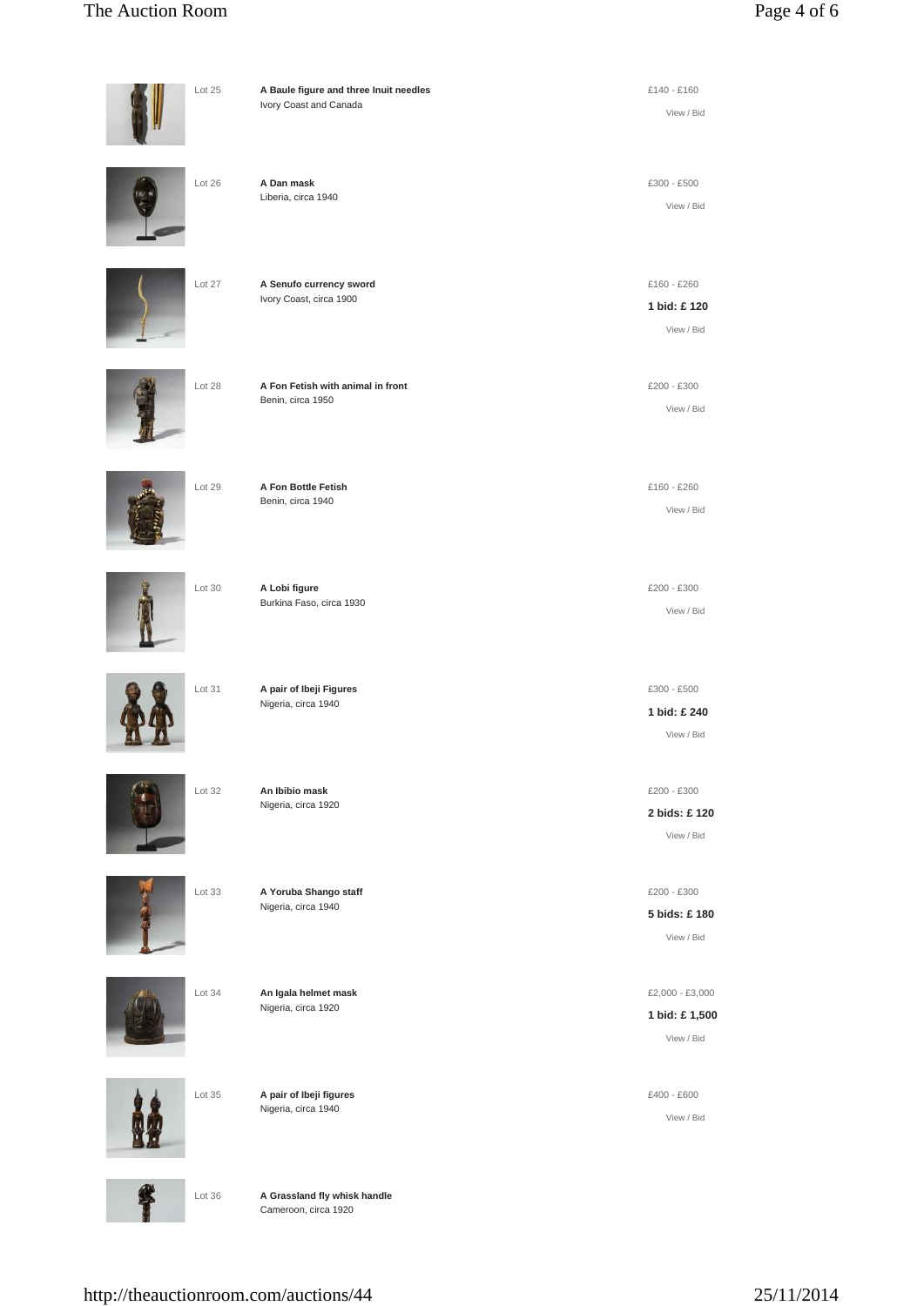# The Auction Room Page 4 of 6

| Lot 25 | A Baule figure and three Inuit needles<br>Ivory Coast and Canada | £140 - £160<br>View / Bid                       |
|--------|------------------------------------------------------------------|-------------------------------------------------|
| Lot 26 | A Dan mask<br>Liberia, circa 1940                                | £300 - £500<br>View / Bid                       |
| Lot 27 | A Senufo currency sword<br>Ivory Coast, circa 1900               | £160 - £260<br>1 bid: £120<br>View / Bid        |
| Lot 28 | A Fon Fetish with animal in front<br>Benin, circa 1950           | £200 - £300<br>View / Bid                       |
| Lot 29 | A Fon Bottle Fetish<br>Benin, circa 1940                         | £160 - £260<br>View / Bid                       |
| Lot 30 | A Lobi figure<br>Burkina Faso, circa 1930                        | £200 - £300<br>View / Bid                       |
| Lot 31 | A pair of Ibeji Figures<br>Nigeria, circa 1940                   | £300 - £500<br>1 bid: £ 240<br>View / Bid       |
| Lot 32 | An Ibibio mask<br>Nigeria, circa 1920                            | £200 - £300<br>2 bids: £120<br>View / Bid       |
| Lot 33 | A Yoruba Shango staff<br>Nigeria, circa 1940                     | £200 - £300<br>5 bids: £180<br>View / Bid       |
| Lot 34 | An Igala helmet mask<br>Nigeria, circa 1920                      | £2,000 - £3,000<br>1 bid: £ 1,500<br>View / Bid |
| Lot 35 | A pair of Ibeji figures<br>Nigeria, circa 1940                   | £400 - £600<br>View / Bid                       |
| Lot 36 | A Grassland fly whisk handle<br>Cameroon, circa 1920             |                                                 |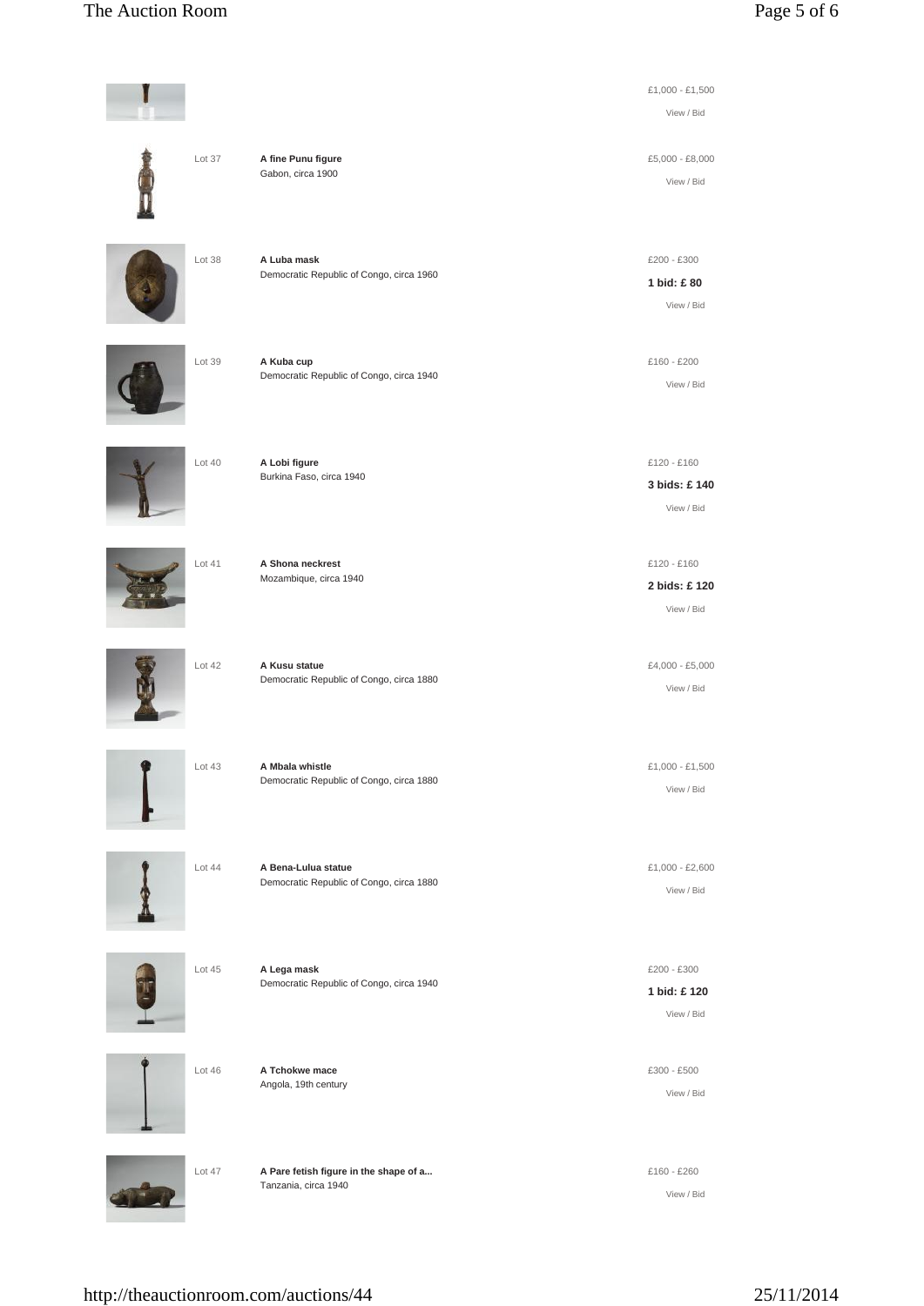# The Auction Room Page 5 of 6

|        |                                                                 | £1,000 - £1,500<br>View / Bid             |
|--------|-----------------------------------------------------------------|-------------------------------------------|
| Lot 37 | A fine Punu figure<br>Gabon, circa 1900                         | £5,000 - £8,000<br>View / Bid             |
| Lot 38 | A Luba mask<br>Democratic Republic of Congo, circa 1960         | £200 - £300<br>1 bid: £80<br>View / Bid   |
| Lot 39 | A Kuba cup<br>Democratic Republic of Congo, circa 1940          | £160 - £200<br>View / Bid                 |
| Lot 40 | A Lobi figure<br>Burkina Faso, circa 1940                       | £120 - £160<br>3 bids: £140<br>View / Bid |
| Lot 41 | A Shona neckrest<br>Mozambique, circa 1940                      | £120 - £160<br>2 bids: £120<br>View / Bid |
| Lot 42 | A Kusu statue<br>Democratic Republic of Congo, circa 1880       | £4,000 - £5,000<br>View / Bid             |
| Lot 43 | A Mbala whistle<br>Democratic Republic of Congo, circa 1880     | $£1,000 - £1,500$<br>View / Bid           |
| Lot 44 | A Bena-Lulua statue<br>Democratic Republic of Congo, circa 1880 | £1,000 - £2,600<br>View / Bid             |
| Lot 45 | A Lega mask<br>Democratic Republic of Congo, circa 1940         | £200 - £300<br>1 bid: £120<br>View / Bid  |
| Lot 46 | A Tchokwe mace<br>Angola, 19th century                          | £300 - £500<br>View / Bid                 |
| Lot 47 | A Pare fetish figure in the shape of a<br>Tanzania, circa 1940  | £160 - £260                               |

**STAR** 

View / Bid